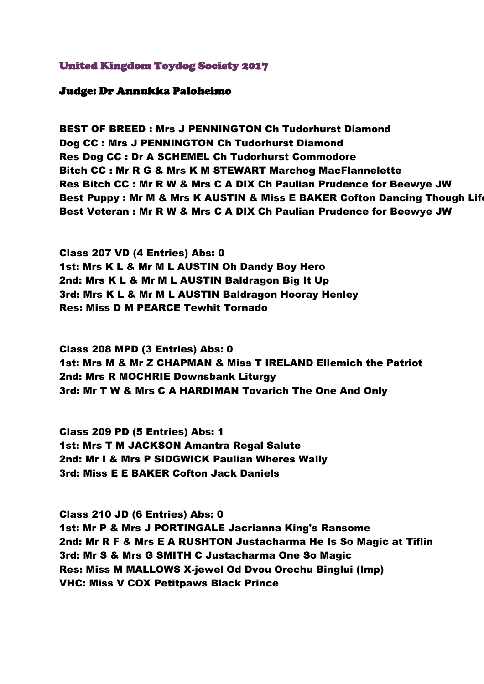## United Kingdom Toydog Society 2017

## Judge: Dr Annukka Paloheimo

BEST OF BREED : Mrs J PENNINGTON Ch Tudorhurst Diamond Dog CC : Mrs J PENNINGTON Ch Tudorhurst Diamond Res Dog CC : Dr A SCHEMEL Ch Tudorhurst Commodore Bitch CC : Mr R G & Mrs K M STEWART Marchog MacFlannelette Res Bitch CC : Mr R W & Mrs C A DIX Ch Paulian Prudence for Beewye JW Best Puppy : Mr M & Mrs K AUSTIN & Miss E BAKER Cofton Dancing Though Life Best Veteran : Mr R W & Mrs C A DIX Ch Paulian Prudence for Beewye JW

Class 207 VD (4 Entries) Abs: 0 1st: Mrs K L & Mr M L AUSTIN Oh Dandy Boy Hero 2nd: Mrs K L & Mr M L AUSTIN Baldragon Big It Up 3rd: Mrs K L & Mr M L AUSTIN Baldragon Hooray Henley Res: Miss D M PEARCE Tewhit Tornado

Class 208 MPD (3 Entries) Abs: 0 1st: Mrs M & Mr Z CHAPMAN & Miss T IRELAND Ellemich the Patriot 2nd: Mrs R MOCHRIE Downsbank Liturgy 3rd: Mr T W & Mrs C A HARDIMAN Tovarich The One And Only

Class 209 PD (5 Entries) Abs: 1 1st: Mrs T M JACKSON Amantra Regal Salute 2nd: Mr I & Mrs P SIDGWICK Paulian Wheres Wally 3rd: Miss E E BAKER Cofton Jack Daniels

Class 210 JD (6 Entries) Abs: 0 1st: Mr P & Mrs J PORTINGALE Jacrianna King's Ransome 2nd: Mr R F & Mrs E A RUSHTON Justacharma He Is So Magic at Tiflin 3rd: Mr S & Mrs G SMITH C Justacharma One So Magic Res: Miss M MALLOWS X-jewel Od Dvou Orechu Binglui (Imp) VHC: Miss V COX Petitpaws Black Prince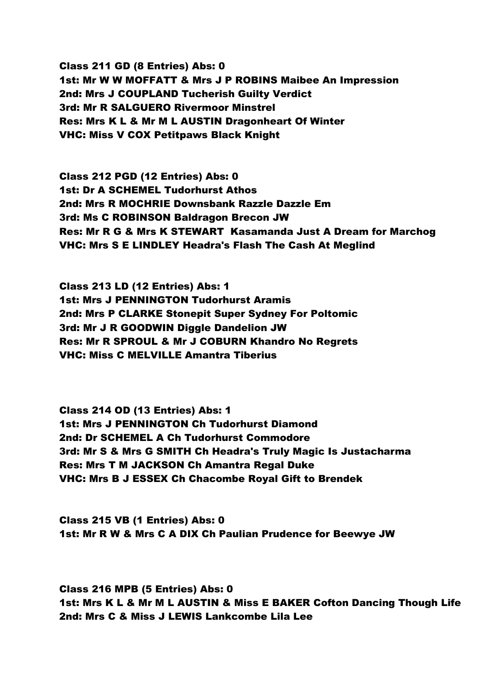Class 211 GD (8 Entries) Abs: 0 1st: Mr W W MOFFATT & Mrs J P ROBINS Maibee An Impression 2nd: Mrs J COUPLAND Tucherish Guilty Verdict 3rd: Mr R SALGUERO Rivermoor Minstrel Res: Mrs K L & Mr M L AUSTIN Dragonheart Of Winter VHC: Miss V COX Petitpaws Black Knight

Class 212 PGD (12 Entries) Abs: 0 1st: Dr A SCHEMEL Tudorhurst Athos 2nd: Mrs R MOCHRIE Downsbank Razzle Dazzle Em 3rd: Ms C ROBINSON Baldragon Brecon JW Res: Mr R G & Mrs K STEWART Kasamanda Just A Dream for Marchog VHC: Mrs S E LINDLEY Headra's Flash The Cash At Meglind

Class 213 LD (12 Entries) Abs: 1 1st: Mrs J PENNINGTON Tudorhurst Aramis 2nd: Mrs P CLARKE Stonepit Super Sydney For Poltomic 3rd: Mr J R GOODWIN Diggle Dandelion JW Res: Mr R SPROUL & Mr J COBURN Khandro No Regrets VHC: Miss C MELVILLE Amantra Tiberius

Class 214 OD (13 Entries) Abs: 1 1st: Mrs J PENNINGTON Ch Tudorhurst Diamond 2nd: Dr SCHEMEL A Ch Tudorhurst Commodore 3rd: Mr S & Mrs G SMITH Ch Headra's Truly Magic Is Justacharma Res: Mrs T M JACKSON Ch Amantra Regal Duke VHC: Mrs B J ESSEX Ch Chacombe Royal Gift to Brendek

Class 215 VB (1 Entries) Abs: 0 1st: Mr R W & Mrs C A DIX Ch Paulian Prudence for Beewye JW

Class 216 MPB (5 Entries) Abs: 0 1st: Mrs K L & Mr M L AUSTIN & Miss E BAKER Cofton Dancing Though Life 2nd: Mrs C & Miss J LEWIS Lankcombe Lila Lee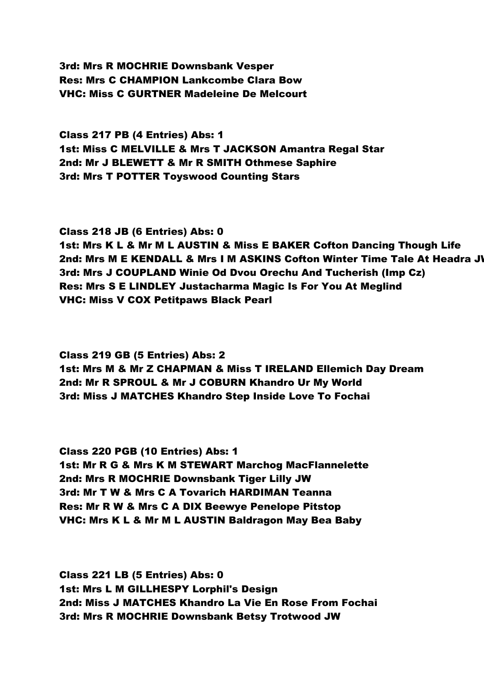3rd: Mrs R MOCHRIE Downsbank Vesper Res: Mrs C CHAMPION Lankcombe Clara Bow VHC: Miss C GURTNER Madeleine De Melcourt

Class 217 PB (4 Entries) Abs: 1 1st: Miss C MELVILLE & Mrs T JACKSON Amantra Regal Star 2nd: Mr J BLEWETT & Mr R SMITH Othmese Saphire 3rd: Mrs T POTTER Toyswood Counting Stars

Class 218 JB (6 Entries) Abs: 0

1st: Mrs K L & Mr M L AUSTIN & Miss E BAKER Cofton Dancing Though Life 2nd: Mrs M E KENDALL & Mrs I M ASKINS Cofton Winter Time Tale At Headra J 3rd: Mrs J COUPLAND Winie Od Dvou Orechu And Tucherish (Imp Cz) Res: Mrs S E LINDLEY Justacharma Magic Is For You At Meglind VHC: Miss V COX Petitpaws Black Pearl

Class 219 GB (5 Entries) Abs: 2 1st: Mrs M & Mr Z CHAPMAN & Miss T IRELAND Ellemich Day Dream 2nd: Mr R SPROUL & Mr J COBURN Khandro Ur My World 3rd: Miss J MATCHES Khandro Step Inside Love To Fochai

Class 220 PGB (10 Entries) Abs: 1 1st: Mr R G & Mrs K M STEWART Marchog MacFlannelette 2nd: Mrs R MOCHRIE Downsbank Tiger Lilly JW 3rd: Mr T W & Mrs C A Tovarich HARDIMAN Teanna Res: Mr R W & Mrs C A DIX Beewye Penelope Pitstop VHC: Mrs K L & Mr M L AUSTIN Baldragon May Bea Baby

Class 221 LB (5 Entries) Abs: 0 1st: Mrs L M GILLHESPY Lorphil's Design 2nd: Miss J MATCHES Khandro La Vie En Rose From Fochai 3rd: Mrs R MOCHRIE Downsbank Betsy Trotwood JW